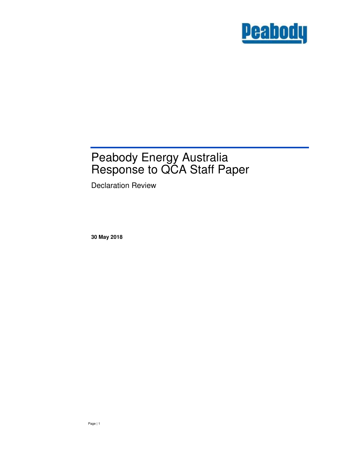

# Peabody Energy Australia Response to QCA Staff Paper

Declaration Review

**30 May 2018**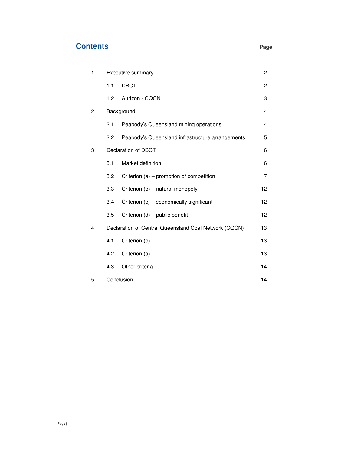# **Contents Page**

| 1            | Executive summary                                     |                                                  |              |
|--------------|-------------------------------------------------------|--------------------------------------------------|--------------|
|              | 1.1                                                   | <b>DBCT</b>                                      | $\mathbf{2}$ |
|              | 1.2                                                   | Aurizon - CQCN                                   | 3            |
| $\mathbf{2}$ | Background                                            |                                                  |              |
|              | 2.1                                                   | Peabody's Queensland mining operations           | 4            |
|              | 2.2                                                   | Peabody's Queensland infrastructure arrangements | 5            |
| 3            | Declaration of DBCT                                   |                                                  |              |
|              | 3.1                                                   | Market definition                                | 6            |
|              | 3.2                                                   | Criterion (a) – promotion of competition         | 7            |
|              | 3.3                                                   | Criterion (b) - natural monopoly                 | 12           |
|              | 3.4                                                   | Criterion (c) - economically significant         | 12           |
|              | 3.5                                                   | Criterion (d) - public benefit                   | 12           |
| 4            | Declaration of Central Queensland Coal Network (CQCN) |                                                  |              |
|              | 4.1                                                   | Criterion (b)                                    | 13           |
|              | 4.2                                                   | Criterion (a)                                    | 13           |
|              | 4.3                                                   | Other criteria                                   | 14           |
| 5            | Conclusion                                            |                                                  |              |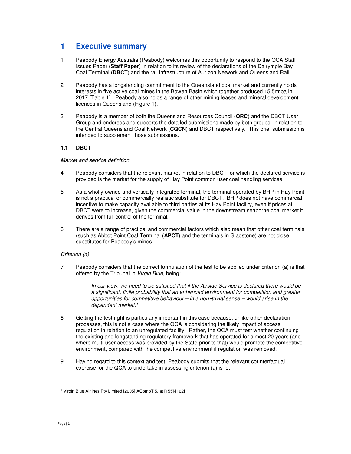# **1 Executive summary**

- 1 Peabody Energy Australia (Peabody) welcomes this opportunity to respond to the QCA Staff Issues Paper (**Staff Paper**) in relation to its review of the declarations of the Dalrymple Bay Coal Terminal (**DBCT**) and the rail infrastructure of Aurizon Network and Queensland Rail.
- 2 Peabody has a longstanding commitment to the Queensland coal market and currently holds interests in five active coal mines in the Bowen Basin which together produced 15.5mtpa in 2017 (Table 1). Peabody also holds a range of other mining leases and mineral development licences in Queensland (Figure 1).
- 3 Peabody is a member of both the Queensland Resources Council (**QRC**) and the DBCT User Group and endorses and supports the detailed submissions made by both groups, in relation to the Central Queensland Coal Network (**CQCN**) and DBCT respectively. This brief submission is intended to supplement those submissions.

# **1.1 DBCT**

# Market and service definition

- 4 Peabody considers that the relevant market in relation to DBCT for which the declared service is provided is the market for the supply of Hay Point common user coal handling services.
- 5 As a wholly-owned and vertically-integrated terminal, the terminal operated by BHP in Hay Point is not a practical or commercially realistic substitute for DBCT. BHP does not have commercial incentive to make capacity available to third parties at its Hay Point facility, even if prices at DBCT were to increase, given the commercial value in the downstream seaborne coal market it derives from full control of the terminal.
- 6 There are a range of practical and commercial factors which also mean that other coal terminals (such as Abbot Point Coal Terminal (**APCT**) and the terminals in Gladstone) are not close substitutes for Peabody's mines.

# Criterion (a)

7 Peabody considers that the correct formulation of the test to be applied under criterion (a) is that offered by the Tribunal in Virgin Blue, being:

> In our view, we need to be satisfied that if the Airside Service is declared there would be a significant, finite probability that an enhanced environment for competition and greater opportunities for competitive behaviour – in a non‑trivial sense – would arise in the dependent market.<sup>1</sup>

- 8 Getting the test right is particularly important in this case because, unlike other declaration processes, this is not a case where the QCA is considering the likely impact of access regulation in relation to an unregulated facility. Rather, the QCA must test whether continuing the existing and longstanding regulatory framework that has operated for almost 20 years (and where multi-user access was provided by the State prior to that) would promote the competitive environment, compared with the competitive environment if regulation was removed.
- 9 Having regard to this context and test, Peabody submits that the relevant counterfactual exercise for the QCA to undertake in assessing criterion (a) is to:

<sup>&</sup>lt;sup>1</sup> Virgin Blue Airlines Pty Limited [2005] ACompT 5, at [155]-[162]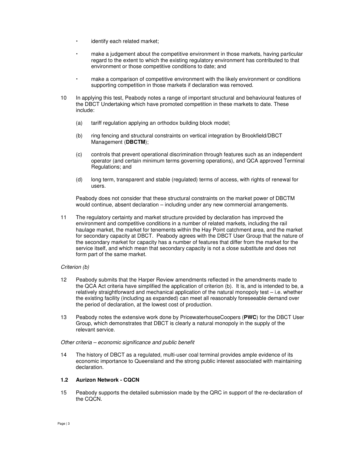- identify each related market;
- make a judgement about the competitive environment in those markets, having particular regard to the extent to which the existing regulatory environment has contributed to that environment or those competitive conditions to date; and
- make a comparison of competitive environment with the likely environment or conditions supporting competition in those markets if declaration was removed.
- 10 In applying this test, Peabody notes a range of important structural and behavioural features of the DBCT Undertaking which have promoted competition in these markets to date. These include:
	- (a) tariff regulation applying an orthodox building block model;
	- (b) ring fencing and structural constraints on vertical integration by Brookfield/DBCT Management (**DBCTM**);
	- (c) controls that prevent operational discrimination through features such as an independent operator (and certain minimum terms governing operations), and QCA approved Terminal Regulations; and
	- (d) long term, transparent and stable (regulated) terms of access, with rights of renewal for users.

Peabody does not consider that these structural constraints on the market power of DBCTM would continue, absent declaration – including under any new commercial arrangements.

11 The regulatory certainty and market structure provided by declaration has improved the environment and competitive conditions in a number of related markets, including the rail haulage market, the market for tenements within the Hay Point catchment area, and the market for secondary capacity at DBCT. Peabody agrees with the DBCT User Group that the nature of the secondary market for capacity has a number of features that differ from the market for the service itself, and which mean that secondary capacity is not a close substitute and does not form part of the same market.

# Criterion (b)

- 12 Peabody submits that the Harper Review amendments reflected in the amendments made to the QCA Act criteria have simplified the application of criterion (b). It is, and is intended to be, a relatively straightforward and mechanical application of the natural monopoly test – i.e. whether the existing facility (including as expanded) can meet all reasonably foreseeable demand over the period of declaration, at the lowest cost of production.
- 13 Peabody notes the extensive work done by PricewaterhouseCoopers (**PWC**) for the DBCT User Group, which demonstrates that DBCT is clearly a natural monopoly in the supply of the relevant service.

Other criteria – economic significance and public benefit

14 The history of DBCT as a regulated, multi-user coal terminal provides ample evidence of its economic importance to Queensland and the strong public interest associated with maintaining declaration.

### **1.2 Aurizon Network - CQCN**

15 Peabody supports the detailed submission made by the QRC in support of the re-declaration of the CQCN.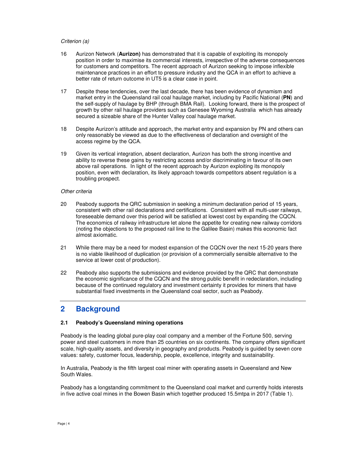# Criterion (a)

- 16 Aurizon Network (**Aurizon)** has demonstrated that it is capable of exploiting its monopoly position in order to maximise its commercial interests, irrespective of the adverse consequences for customers and competitors. The recent approach of Aurizon seeking to impose inflexible maintenance practices in an effort to pressure industry and the QCA in an effort to achieve a better rate of return outcome in UT5 is a clear case in point.
- 17 Despite these tendencies, over the last decade, there has been evidence of dynamism and market entry in the Queensland rail coal haulage market, including by Pacific National (**PN**) and the self-supply of haulage by BHP (through BMA Rail). Looking forward, there is the prospect of growth by other rail haulage providers such as Genesee Wyoming Australia which has already secured a sizeable share of the Hunter Valley coal haulage market.
- 18 Despite Aurizon's attitude and approach, the market entry and expansion by PN and others can only reasonably be viewed as due to the effectiveness of declaration and oversight of the access regime by the QCA.
- 19 Given its vertical integration, absent declaration, Aurizon has both the strong incentive and ability to reverse these gains by restricting access and/or discriminating in favour of its own above rail operations. In light of the recent approach by Aurizon exploiting its monopoly position, even with declaration, its likely approach towards competitors absent regulation is a troubling prospect.

#### Other criteria

- 20 Peabody supports the QRC submission in seeking a minimum declaration period of 15 years, consistent with other rail declarations and certifications. Consistent with all multi-user railways, foreseeable demand over this period will be satisfied at lowest cost by expanding the CQCN. The economics of railway infrastructure let alone the appetite for creating new railway corridors (noting the objections to the proposed rail line to the Galilee Basin) makes this economic fact almost axiomatic.
- 21 While there may be a need for modest expansion of the CQCN over the next 15-20 years there is no viable likelihood of duplication (or provision of a commercially sensible alternative to the service at lower cost of production).
- 22 Peabody also supports the submissions and evidence provided by the QRC that demonstrate the economic significance of the CQCN and the strong public benefit in redeclaration, including because of the continued regulatory and investment certainty it provides for miners that have substantial fixed investments in the Queensland coal sector, such as Peabody.

# **2 Background**

# **2.1 Peabody's Queensland mining operations**

Peabody is the leading global pure-play coal company and a member of the Fortune 500, serving power and steel customers in more than 25 countries on six continents. The company offers significant scale, high-quality assets, and diversity in geography and products. Peabody is guided by seven core values: safety, customer focus, leadership, people, excellence, integrity and sustainability.

In Australia, Peabody is the fifth largest coal miner with operating assets in Queensland and New South Wales.

Peabody has a longstanding commitment to the Queensland coal market and currently holds interests in five active coal mines in the Bowen Basin which together produced 15.5mtpa in 2017 (Table 1).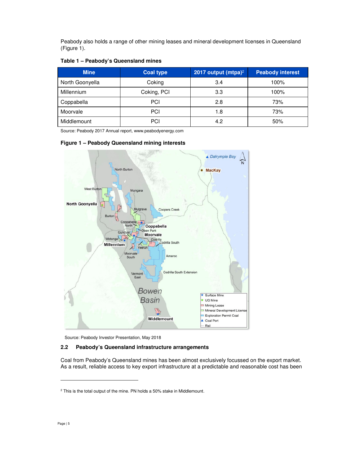Peabody also holds a range of other mining leases and mineral development licenses in Queensland (Figure 1).

# **Table 1 – Peabody's Queensland mines**

| <b>Mine</b>     | <b>Coal type</b> | 2017 output (mtpa) <sup>2</sup> | <b>Peabody interest</b> |
|-----------------|------------------|---------------------------------|-------------------------|
| North Goonyella | Coking           | 3.4                             | 100%                    |
| Millennium      | Coking, PCI      | 3.3                             | 100%                    |
| Coppabella      | PCI              | 2.8                             | 73%                     |
| Moorvale        | PCI              | 1.8                             | 73%                     |
| Middlemount     | PCI              | 4.2                             | 50%                     |

Source: Peabody 2017 Annual report, www.peabodyenergy.com

# **Figure 1 – Peabody Queensland mining interests**



Source: Peabody Investor Presentation, May 2018

# **2.2 Peabody's Queensland infrastructure arrangements**

Coal from Peabody's Queensland mines has been almost exclusively focussed on the export market. As a result, reliable access to key export infrastructure at a predictable and reasonable cost has been

<sup>&</sup>lt;sup>2</sup> This is the total output of the mine. PN holds a 50% stake in Middlemount.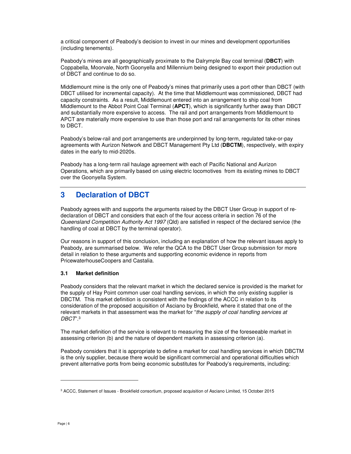a critical component of Peabody's decision to invest in our mines and development opportunities (including tenements).

Peabody's mines are all geographically proximate to the Dalrymple Bay coal terminal (**DBCT**) with Coppabella, Moorvale, North Goonyella and Millennium being designed to export their production out of DBCT and continue to do so.

Middlemount mine is the only one of Peabody's mines that primarily uses a port other than DBCT (with DBCT utilised for incremental capacity). At the time that Middlemount was commissioned, DBCT had capacity constraints. As a result, Middlemount entered into an arrangement to ship coal from Middlemount to the Abbot Point Coal Terminal (**APCT**), which is significantly further away than DBCT and substantially more expensive to access. The rail and port arrangements from Middlemount to APCT are materially more expensive to use than those port and rail arrangements for its other mines to DBCT.

Peabody's below-rail and port arrangements are underpinned by long-term, regulated take-or-pay agreements with Aurizon Network and DBCT Management Pty Ltd (**DBCTM**), respectively, with expiry dates in the early to mid-2020s.

Peabody has a long-term rail haulage agreement with each of Pacific National and Aurizon Operations, which are primarily based on using electric locomotives from its existing mines to DBCT over the Goonyella System.

# **3 Declaration of DBCT**

Peabody agrees with and supports the arguments raised by the DBCT User Group in support of redeclaration of DBCT and considers that each of the four access criteria in section 76 of the Queensland Competition Authority Act 1997 (Qld) are satisfied in respect of the declared service (the handling of coal at DBCT by the terminal operator).

Our reasons in support of this conclusion, including an explanation of how the relevant issues apply to Peabody, are summarised below. We refer the QCA to the DBCT User Group submission for more detail in relation to these arguments and supporting economic evidence in reports from PricewaterhouseCoopers and Castalia.

# **3.1 Market definition**

Peabody considers that the relevant market in which the declared service is provided is the market for the supply of Hay Point common user coal handling services, in which the only existing supplier is DBCTM. This market definition is consistent with the findings of the ACCC in relation to its consideration of the proposed acquisition of Asciano by Brookfield, where it stated that one of the relevant markets in that assessment was the market for "the supply of coal handling services at DBCT".<sup>3</sup>

The market definition of the service is relevant to measuring the size of the foreseeable market in assessing criterion (b) and the nature of dependent markets in assessing criterion (a).

Peabody considers that it is appropriate to define a market for coal handling services in which DBCTM is the only supplier, because there would be significant commercial and operational difficulties which prevent alternative ports from being economic substitutes for Peabody's requirements, including:

<sup>3</sup> ACCC, Statement of Issues - Brookfield consortium, proposed acquisition of Asciano Limited, 15 October 2015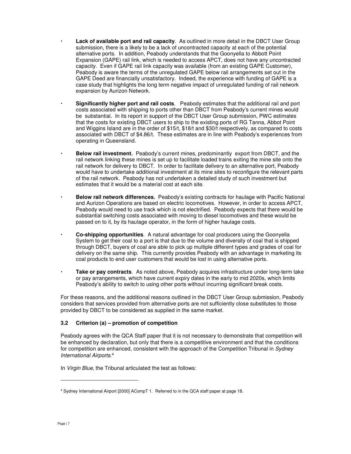- **Lack of available port and rail capacity**. As outlined in more detail in the DBCT User Group submission, there is a likely to be a lack of uncontracted capacity at each of the potential alternative ports. In addition, Peabody understands that the Goonyella to Abbott Point Expansion (GAPE) rail link, which is needed to access APCT, does not have any uncontracted capacity. Even if GAPE rail link capacity was available (from an existing GAPE Customer), Peabody is aware the terms of the unregulated GAPE below rail arrangements set out in the GAPE Deed are financially unsatisfactory. Indeed, the experience with funding of GAPE is a case study that highlights the long term negative impact of unregulated funding of rail network expansion by Aurizon Network.
- **Significantly higher port and rail costs**. Peabody estimates that the additional rail and port costs associated with shipping to ports other than DBCT from Peabody's current mines would be substantial. In its report in support of the DBCT User Group submission, PWC estimates that the costs for existing DBCT users to ship to the existing ports of RG Tanna, Abbot Point and Wiggins Island are in the order of \$15/t, \$18/t and \$30/t respectively, as compared to costs associated with DBCT of \$4.86/t. These estimates are in line with Peabody's experiences from operating in Queensland.
- **Below rail investment.** Peabody's current mines, predominantly export from DBCT, and the rail network linking these mines is set up to facilitate loaded trains exiting the mine site onto the rail network for delivery to DBCT. In order to facilitate delivery to an alternative port, Peabody would have to undertake additional investment at its mine sites to reconfigure the relevant parts of the rail network. Peabody has not undertaken a detailed study of such investment but estimates that it would be a material cost at each site.
- **Below rail network differences.** Peabody's existing contracts for haulage with Pacific National and Aurizon Operations are based on electric locomotives. However, in order to access APCT, Peabody would need to use track which is not electrified. Peabody expects that there would be substantial switching costs associated with moving to diesel locomotives and these would be passed on to it, by its haulage operator, in the form of higher haulage costs.
- **Co-shipping opportunities**. A natural advantage for coal producers using the Goonyella System to get their coal to a port is that due to the volume and diversity of coal that is shipped through DBCT, buyers of coal are able to pick up multiple different types and grades of coal for delivery on the same ship. This currently provides Peabody with an advantage in marketing its coal products to end user customers that would be lost in using alternative ports.
- **Take or pay contracts**. As noted above, Peabody acquires infrastructure under long-term take or pay arrangements, which have current expiry dates in the early to mid 2020s, which limits Peabody's ability to switch to using other ports without incurring significant break costs.

For these reasons, and the additional reasons outlined in the DBCT User Group submission, Peabody considers that services provided from alternative ports are not sufficiently close substitutes to those provided by DBCT to be considered as supplied in the same market.

# **3.2 Criterion (a) – promotion of competition**

Peabody agrees with the QCA Staff paper that it is not necessary to demonstrate that competition will be enhanced by declaration, but only that there is a competitive environment and that the conditions for competition are enhanced, consistent with the approach of the Competition Tribunal in Sydney International Airports. 4

In Virgin Blue, the Tribunal articulated the test as follows:

<sup>4</sup> Sydney International Airport [2000] ACompT 1. Referred to in the QCA staff paper at page 18.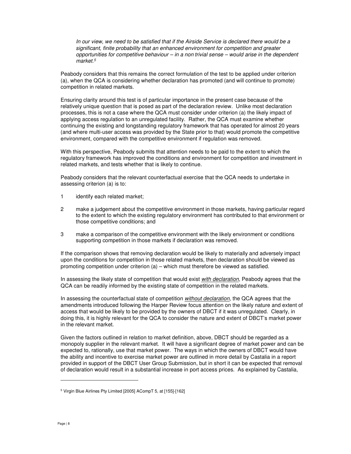In our view, we need to be satisfied that if the Airside Service is declared there would be a significant, finite probability that an enhanced environment for competition and greater opportunities for competitive behaviour – in a non trivial sense – would arise in the dependent market.<sup>5</sup>

Peabody considers that this remains the correct formulation of the test to be applied under criterion (a), when the QCA is considering whether declaration has promoted (and will continue to promote) competition in related markets.

Ensuring clarity around this test is of particular importance in the present case because of the relatively unique question that is posed as part of the declaration review. Unlike most declaration processes, this is not a case where the QCA must consider under criterion (a) the likely impact of applying access regulation to an unregulated facility. Rather, the QCA must examine whether continuing the existing and longstanding regulatory framework that has operated for almost 20 years (and where multi-user access was provided by the State prior to that) would promote the competitive environment, compared with the competitive environment if regulation was removed.

With this perspective, Peabody submits that attention needs to be paid to the extent to which the regulatory framework has improved the conditions and environment for competition and investment in related markets, and tests whether that is likely to continue.

Peabody considers that the relevant counterfactual exercise that the QCA needs to undertake in assessing criterion (a) is to:

- 1 identify each related market;
- 2 make a judgement about the competitive environment in those markets, having particular regard to the extent to which the existing regulatory environment has contributed to that environment or those competitive conditions; and
- 3 make a comparison of the competitive environment with the likely environment or conditions supporting competition in those markets if declaration was removed.

If the comparison shows that removing declaration would be likely to materially and adversely impact upon the conditions for competition in those related markets, then declaration should be viewed as promoting competition under criterion (a) – which must therefore be viewed as satisfied.

In assessing the likely state of competition that would exist with declaration, Peabody agrees that the QCA can be readily informed by the existing state of competition in the related markets.

In assessing the counterfactual state of competition without declaration, the QCA agrees that the amendments introduced following the Harper Review focus attention on the likely nature and extent of access that would be likely to be provided by the owners of DBCT if it was unregulated. Clearly, in doing this, it is highly relevant for the QCA to consider the nature and extent of DBCT's market power in the relevant market.

Given the factors outlined in relation to market definition, above, DBCT should be regarded as a monopoly supplier in the relevant market. It will have a significant degree of market power and can be expected to, rationally, use that market power. The ways in which the owners of DBCT would have the ability and incentive to exercise market power are outlined in more detail by Castalia in a report provided in support of the DBCT User Group Submission, but in short it can be expected that removal of declaration would result in a substantial increase in port access prices. As explained by Castalia,

<sup>5</sup> Virgin Blue Airlines Pty Limited [2005] ACompT 5, at [155]-[162]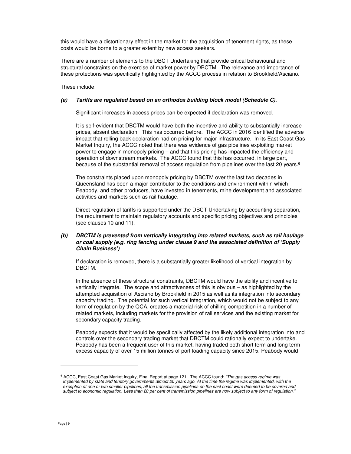this would have a distortionary effect in the market for the acquisition of tenement rights, as these costs would be borne to a greater extent by new access seekers.

There are a number of elements to the DBCT Undertaking that provide critical behavioural and structural constraints on the exercise of market power by DBCTM. The relevance and importance of these protections was specifically highlighted by the ACCC process in relation to Brookfield/Asciano.

These include:

#### **(a) Tariffs are regulated based on an orthodox building block model (Schedule C).**

Significant increases in access prices can be expected if declaration was removed.

It is self-evident that DBCTM would have both the incentive and ability to substantially increase prices, absent declaration. This has occurred before. The ACCC in 2016 identified the adverse impact that rolling back declaration had on pricing for major infrastructure. In its East Coast Gas Market Inquiry, the ACCC noted that there was evidence of gas pipelines exploiting market power to engage in monopoly pricing – and that this pricing has impacted the efficiency and operation of downstream markets. The ACCC found that this has occurred, in large part, because of the substantial removal of access regulation from pipelines over the last 20 years.<sup>6</sup>

The constraints placed upon monopoly pricing by DBCTM over the last two decades in Queensland has been a major contributor to the conditions and environment within which Peabody, and other producers, have invested in tenements, mine development and associated activities and markets such as rail haulage.

Direct regulation of tariffs is supported under the DBCT Undertaking by accounting separation, the requirement to maintain regulatory accounts and specific pricing objectives and principles (see clauses 10 and 11).

# **(b) DBCTM is prevented from vertically integrating into related markets, such as rail haulage or coal supply (e.g. ring fencing under clause 9 and the associated definition of 'Supply Chain Business')**

If declaration is removed, there is a substantially greater likelihood of vertical integration by DBCTM.

In the absence of these structural constraints, DBCTM would have the ability and incentive to vertically integrate. The scope and attractiveness of this is obvious – as highlighted by the attempted acquisition of Asciano by Brookfield in 2015 as well as its integration into secondary capacity trading. The potential for such vertical integration, which would not be subject to any form of regulation by the QCA, creates a material risk of chilling competition in a number of related markets, including markets for the provision of rail services and the existing market for secondary capacity trading.

Peabody expects that it would be specifically affected by the likely additional integration into and controls over the secondary trading market that DBCTM could rationally expect to undertake. Peabody has been a frequent user of this market, having traded both short term and long term excess capacity of over 15 million tonnes of port loading capacity since 2015. Peabody would

<sup>&</sup>lt;sup>6</sup> ACCC, East Coast Gas Market Inquiry, Final Report at page 121. The ACCC found: "The gas access regime was implemented by state and territory governments almost 20 years ago. At the time the regime was implemented, with the exception of one or two smaller pipelines, all the transmission pipelines on the east coast were deemed to be covered and subject to economic regulation. Less than 20 per cent of transmission pipelines are now subject to any form of regulation."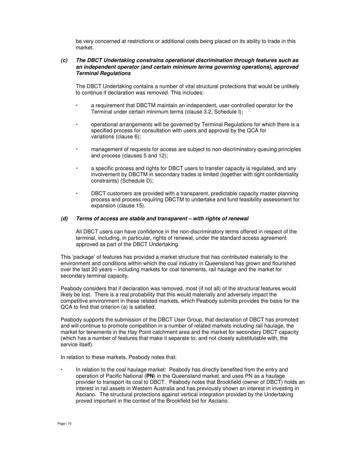be very concerned at restrictions or additional costs being placed on its ability to trade in this market.

### **(c) The DBCT Undertaking constrains operational discrimination through features such as an independent operator (and certain minimum terms governing operations), approved Terminal Regulations**

The DBCT Undertaking contains a number of vital structural protections that would be unlikely to continue if declaration was removed. This includes:

- a requirement that DBCTM maintain an independent, user-controlled operator for the Terminal under certain minimum terms (clause 3.2, Schedule I);
- operational arrangements will be governed by Terminal Regulations for which there is a specified process for consultation with users and approval by the QCA for variations (clause 6);
- management of requests for access are subject to non-discriminatory queuing principles and process (clauses 5 and 12);
- a specific process and rights for DBCT users to transfer capacity is regulated, and any involvement by DBCTM in secondary trades is limited (together with tight confidentiality constraints) (Schedule D);
- DBCT customers are provided with a transparent, predictable capacity master planning process and process requiring DBCTM to undertake and fund feasibility assessment for expansion (clause 15).

#### **(d) Terms of access are stable and transparent – with rights of renewal**

 All DBCT users can have confidence in the non-discriminatory terms offered in respect of the terminal, including, in particular, rights of renewal, under the standard access agreement approved as part of the DBCT Undertaking.

This 'package' of features has provided a market structure that has contributed materially to the environment and conditions within which the coal industry in Queensland has grown and flourished over the last 20 years – including markets for coal tenements, rail haulage and the market for secondary terminal capacity.

Peabody considers that if declaration was removed, most (if not all) of the structural features would likely be lost. There is a real probability that this would materially and adversely impact the competitive environment in these related markets, which Peabody submits provides the basis for the QCA to find that criterion (a) is satisfied.

Peabody supports the submission of the DBCT User Group, that declaration of DBCT has promoted and will continue to promote competition in a number of related markets including rail haulage, the market for tenements in the Hay Point catchment area and the market for secondary DBCT capacity (which has a number of features that make it separate to, and not closely substitutable with, the service itself).

In relation to these markets, Peabody notes that:

 In relation to the coal haulage market: Peabody has directly benefited from the entry and operation of Pacific National (**PN**) in the Queensland market, and uses PN as a haulage provider to transport its coal to DBCT. Peabody notes that Brookfield (owner of DBCT) holds an interest in rail assets in Western Australia and has previously shown an interest in investing in Asciano. The structural protections against vertical integration provided by the Undertaking proved important in the context of the Brookfield bid for Asciano.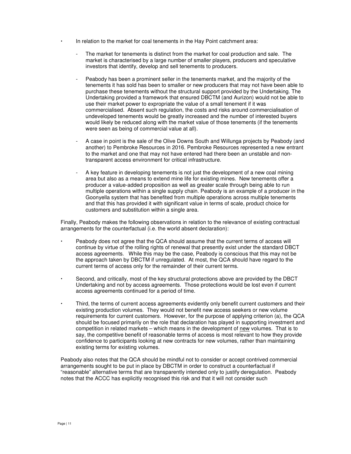- In relation to the market for coal tenements in the Hay Point catchment area:
	- The market for tenements is distinct from the market for coal production and sale. The market is characterised by a large number of smaller players, producers and speculative investors that identify, develop and sell tenements to producers.
	- Peabody has been a prominent seller in the tenements market, and the majority of the tenements it has sold has been to smaller or new producers that may not have been able to purchase these tenements without the structural support provided by the Undertaking. The Undertaking provided a framework that ensured DBCTM (and Aurizon) would not be able to use their market power to expropriate the value of a small tenement if it was commercialised. Absent such regulation, the costs and risks around commercialisation of undeveloped tenements would be greatly increased and the number of interested buyers would likely be reduced along with the market value of those tenements (if the tenements were seen as being of commercial value at all).
	- A case in point is the sale of the Olive Downs South and Willunga projects by Peabody (and another) to Pembroke Resources in 2016. Pembroke Resources represented a new entrant to the market and one that may not have entered had there been an unstable and nontransparent access environment for critical infrastructure.
	- A key feature in developing tenements is not just the development of a new coal mining area but also as a means to extend mine life for existing mines. New tenements offer a producer a value-added proposition as well as greater scale through being able to run multiple operations within a single supply chain. Peabody is an example of a producer in the Goonyella system that has benefited from multiple operations across multiple tenements and that this has provided it with significant value in terms of scale, product choice for customers and substitution within a single area.

Finally, Peabody makes the following observations in relation to the relevance of existing contractual arrangements for the counterfactual (i.e. the world absent declaration):

- Peabody does not agree that the QCA should assume that the current terms of access will continue by virtue of the rolling rights of renewal that presently exist under the standard DBCT access agreements. While this may be the case, Peabody is conscious that this may not be the approach taken by DBCTM if unregulated. At most, the QCA should have regard to the current terms of access only for the remainder of their current terms.
- Second, and critically, most of the key structural protections above are provided by the DBCT Undertaking and not by access agreements. Those protections would be lost even if current access agreements continued for a period of time.
- Third, the terms of current access agreements evidently only benefit current customers and their existing production volumes. They would not benefit new access seekers or new volume requirements for current customers. However, for the purpose of applying criterion (a), the QCA should be focused primarily on the role that declaration has played in supporting investment and competition in related markets – which means in the development of new volumes. That is to say, the competitive benefit of reasonable terms of access is most relevant to how they provide confidence to participants looking at new contracts for new volumes, rather than maintaining existing terms for existing volumes.

Peabody also notes that the QCA should be mindful not to consider or accept contrived commercial arrangements sought to be put in place by DBCTM in order to construct a counterfactual if "reasonable" alternative terms that are transparently intended only to justify deregulation. Peabody notes that the ACCC has explicitly recognised this risk and that it will not consider such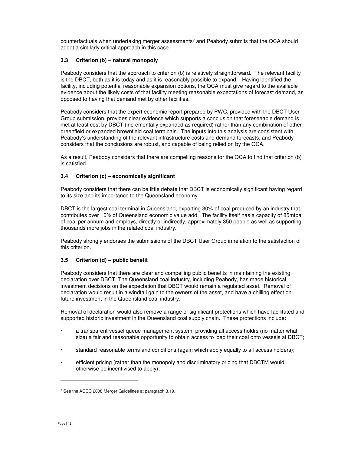counterfactuals when undertaking merger assessments<sup>7</sup> and Peabody submits that the QCA should adopt a similarly critical approach in this case.

# **3.3 Criterion (b) – natural monopoly**

Peabody considers that the approach to criterion (b) is relatively straightforward. The relevant facility is the DBCT, both as it is today and as it is reasonably possible to expand. Having identified the facility, including potential reasonable expansion options, the QCA must give regard to the available evidence about the likely costs of that facility meeting reasonable expectations of forecast demand, as opposed to having that demand met by other facilities.

Peabody considers that the expert economic report prepared by PWC, provided with the DBCT User Group submission, provides clear evidence which supports a conclusion that foreseeable demand is met at least cost by DBCT (incrementally expanded as required) rather than any combination of other greenfield or expanded brownfield coal terminals. The inputs into this analysis are consistent with Peabody's understanding of the relevant infrastructure costs and demand forecasts, and Peabody considers that the conclusions are robust, and capable of being relied on by the QCA.

As a result, Peabody considers that there are compelling reasons for the QCA to find that criterion (b) is satisfied.

# **3.4 Criterion (c) – economically significant**

Peabody considers that there can be little debate that DBCT is economically significant having regard to its size and its importance to the Queensland economy.

DBCT is the largest coal terminal in Queensland, exporting 30% of coal produced by an industry that contributes over 10% of Queensland economic value add. The facility itself has a capacity of 85mtpa of coal per annum and employs, directly or indirectly, approximately 350 people as well as supporting thousands more jobs in the related coal industry.

Peabody strongly endorses the submissions of the DBCT User Group in relation to the satisfaction of this criterion.

# **3.5 Criterion (d) – public benefit**

Peabody considers that there are clear and compelling public benefits in maintaining the existing declaration over DBCT. The Queensland coal industry, including Peabody, has made historical investment decisions on the expectation that DBCT would remain a regulated asset. Removal of declaration would result in a windfall gain to the owners of the asset, and have a chilling effect on future investment in the Queensland coal industry.

Removal of declaration would also remove a range of significant protections which have facilitated and supported historic investment in the Queensland coal supply chain. These protections include:

- a transparent vessel queue management system, providing all access holdrs (no matter what size) a fair and reasonable opportunity to obtain access to load their coal onto vessels at DBCT;
- standard reasonable terms and conditions (again which apply equally to all access holders);
- efficient pricing (rather than the monopoly and discriminatory pricing that DBCTM would otherwise be incentivised to apply);

<sup>&</sup>lt;sup>7</sup> See the ACCC 2008 Merger Guidelines at paragraph 3.19.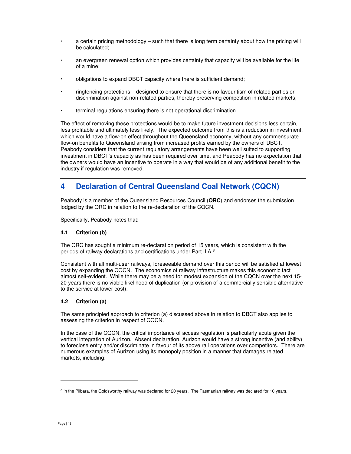- a certain pricing methodology such that there is long term certainty about how the pricing will be calculated;
- an evergreen renewal option which provides certainty that capacity will be available for the life of a mine;
- obligations to expand DBCT capacity where there is sufficient demand;
- ringfencing protections designed to ensure that there is no favouritism of related parties or discrimination against non-related parties, thereby preserving competition in related markets;
- terminal regulations ensuring there is not operational discrimination

The effect of removing these protections would be to make future investment decisions less certain, less profitable and ultimately less likely. The expected outcome from this is a reduction in investment, which would have a flow-on effect throughout the Queensland economy, without any commensurate flow-on benefits to Queensland arising from increased profits earned by the owners of DBCT. Peabody considers that the current regulatory arrangements have been well suited to supporting investment in DBCT's capacity as has been required over time, and Peabody has no expectation that the owners would have an incentive to operate in a way that would be of any additional benefit to the industry if regulation was removed.

# **4 Declaration of Central Queensland Coal Network (CQCN)**

Peabody is a member of the Queensland Resources Council (**QRC**) and endorses the submission lodged by the QRC in relation to the re-declaration of the CQCN.

Specifically, Peabody notes that:

# **4.1 Criterion (b)**

The QRC has sought a minimum re-declaration period of 15 years, which is consistent with the periods of railway declarations and certifications under Part IIIA.<sup>8</sup>

Consistent with all multi-user railways, foreseeable demand over this period will be satisfied at lowest cost by expanding the CQCN. The economics of railway infrastructure makes this economic fact almost self-evident. While there may be a need for modest expansion of the CQCN over the next 15- 20 years there is no viable likelihood of duplication (or provision of a commercially sensible alternative to the service at lower cost).

# **4.2 Criterion (a)**

The same principled approach to criterion (a) discussed above in relation to DBCT also applies to assessing the criterion in respect of CQCN.

In the case of the CQCN, the critical importance of access regulation is particularly acute given the vertical integration of Aurizon. Absent declaration, Aurizon would have a strong incentive (and ability) to foreclose entry and/or discriminate in favour of its above rail operations over competitors. There are numerous examples of Aurizon using its monopoly position in a manner that damages related markets, including:

<sup>&</sup>lt;sup>8</sup> In the Pilbara, the Goldsworthy railway was declared for 20 years. The Tasmanian railway was declared for 10 years.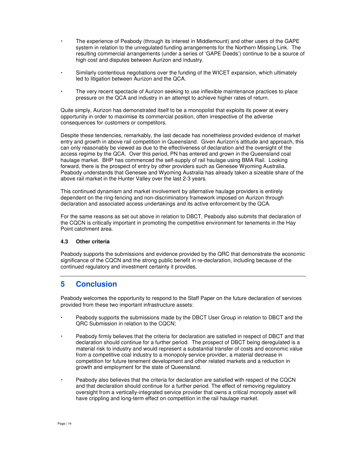- The experience of Peabody (through its interest in Middlemount) and other users of the GAPE system in relation to the unregulated funding arrangements for the Northern Missing Link. The resulting commercial arrangements (under a series of 'GAPE Deeds') continue to be a source of high cost and disputes between Aurizon and industry.
- Similarly contentious negotiations over the funding of the WICET expansion, which ultimately led to litigation between Aurizon and the QCA.
- The very recent spectacle of Aurizon seeking to use inflexible maintenance practices to place pressure on the QCA and industry in an attempt to achieve higher rates of return.

Quite simply, Aurizon has demonstrated itself to be a monopolist that exploits its power at every opportunity in order to maximise its commercial position, often irrespective of the adverse consequences for customers or competitors.

Despite these tendencies, remarkably, the last decade has nonetheless provided evidence of market entry and growth in above rail competition in Queensland. Given Aurizon's attitude and approach, this can only reasonably be viewed as due to the effectiveness of declaration and the oversight of the access regime by the QCA. Over this period, PN has entered and grown in the Queensland coal haulage market. BHP has commenced the self-supply of rail haulage using BMA Rail. Looking forward, there is the prospect of entry by other providers such as Genesee Wyoming Australia. Peabody understands that Genesee and Wyoming Australia has already taken a sizeable share of the above rail market in the Hunter Valley over the last 2-3 years.

This continued dynamism and market involvement by alternative haulage providers is entirely dependent on the ring-fencing and non-discriminatory framework imposed on Aurizon through declaration and associated access undertakings and its active enforcement by the QCA.

For the same reasons as set out above in relation to DBCT, Peabody also submits that declaration of the CQCN is critically important in promoting the competitive environment for tenements in the Hay Point catchment area.

# **4.3 Other criteria**

Peabody supports the submissions and evidence provided by the QRC that demonstrate the economic significance of the CQCN and the strong public benefit in re-declaration, including because of the continued regulatory and investment certainty it provides.

# **5 Conclusion**

Peabody welcomes the opportunity to respond to the Staff Paper on the future declaration of services provided from these two important infrastructure assets:

- Peabody supports the submissions made by the DBCT User Group in relation to DBCT and the QRC Submission in relation to the CQCN;
- Peabody firmly believes that the criteria for declaration are satisfied in respect of DBCT and that declaration should continue for a further period. The prospect of DBCT being deregulated is a material risk to industry and would represent a substantial transfer of costs and economic value from a competitive coal industry to a monopoly service provider, a material decrease in competition for future tenement development and other related markets and a reduction in growth and employment for the state of Queensland.
- Peabody also believes that the criteria for declaration are satisfied with respect of the CQCN and that declaration should continue for a further period. The effect of removing regulatory oversight from a vertically-integrated service provider that owns a critical monopoly asset will have crippling and long-term effect on competition in the rail haulage market.